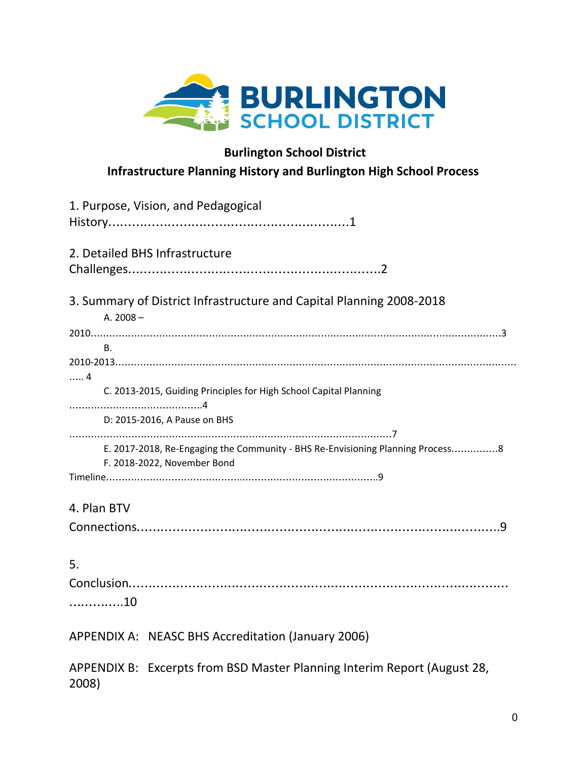

## **Burlington School District Infrastructure Planning History and Burlington High School Process**

| 1. Purpose, Vision, and Pedagogical                                                                           |  |  |  |  |
|---------------------------------------------------------------------------------------------------------------|--|--|--|--|
|                                                                                                               |  |  |  |  |
| 2. Detailed BHS Infrastructure                                                                                |  |  |  |  |
|                                                                                                               |  |  |  |  |
| 3. Summary of District Infrastructure and Capital Planning 2008-2018                                          |  |  |  |  |
| A. $2008 -$                                                                                                   |  |  |  |  |
|                                                                                                               |  |  |  |  |
| B.                                                                                                            |  |  |  |  |
|                                                                                                               |  |  |  |  |
| . 4                                                                                                           |  |  |  |  |
| C. 2013-2015, Guiding Principles for High School Capital Planning                                             |  |  |  |  |
| D: 2015-2016, A Pause on BHS                                                                                  |  |  |  |  |
| E. 2017-2018, Re-Engaging the Community - BHS Re-Envisioning Planning Process8<br>F. 2018-2022, November Bond |  |  |  |  |
|                                                                                                               |  |  |  |  |
| 4. Plan BTV                                                                                                   |  |  |  |  |
|                                                                                                               |  |  |  |  |
|                                                                                                               |  |  |  |  |
| 5.                                                                                                            |  |  |  |  |
|                                                                                                               |  |  |  |  |
| 10                                                                                                            |  |  |  |  |
|                                                                                                               |  |  |  |  |
| APPENDIX A: NEASC BHS Accreditation (January 2006)                                                            |  |  |  |  |
| APPENDIX B: Excerpts from BSD Master Planning Interim Report (August 28,<br>2008)                             |  |  |  |  |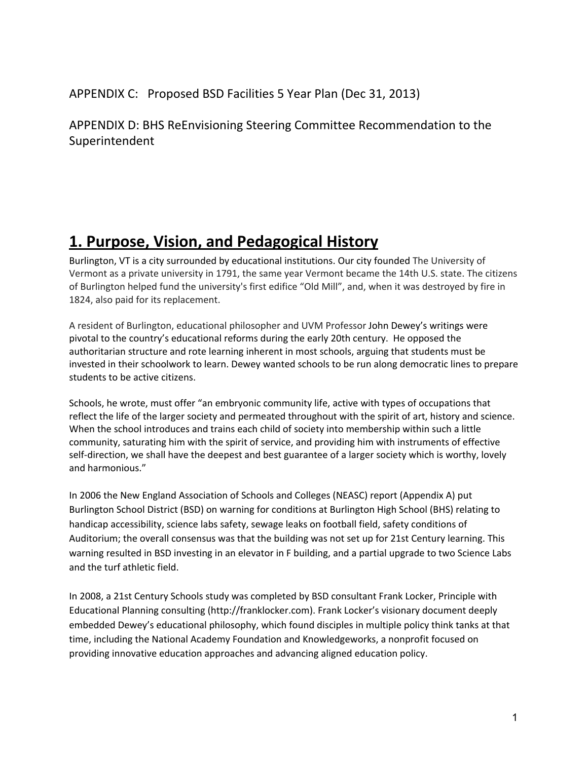APPENDIX C: Proposed BSD Facilities 5 Year Plan (Dec 31, 2013)

APPENDIX D: BHS ReEnvisioning Steering Committee Recommendation to the Superintendent

# **1. Purpose, Vision, and Pedagogical History**

Burlington, VT is a city surrounded by educational institutions. Our city founded The University of Vermont as a private university in 1791, the same year Vermont became the 14th U.S. state. The citizens of Burlington helped fund the university's first edifice "Old Mill", and, when it was destroyed by fire in 1824, also paid for its replacement.

A resident of Burlington, educational philosopher and UVM Professor John Dewey's writings were pivotal to the country's educational reforms during the early 20th century. He opposed the authoritarian structure and rote learning inherent in most schools, arguing that students must be invested in their schoolwork to learn. Dewey wanted schools to be run along democratic lines to prepare students to be active citizens.

Schools, he wrote, must offer "an embryonic community life, active with types of occupations that reflect the life of the larger society and permeated throughout with the spirit of art, history and science. When the school introduces and trains each child of society into membership within such a little community, saturating him with the spirit of service, and providing him with instruments of effective self-direction, we shall have the deepest and best guarantee of a larger society which is worthy, lovely and harmonious."

In 2006 the New England Association of Schools and Colleges (NEASC) report (Appendix A) put Burlington School District (BSD) on warning for conditions at Burlington High School (BHS) relating to handicap accessibility, science labs safety, sewage leaks on football field, safety conditions of Auditorium; the overall consensus was that the building was not set up for 21st Century learning. This warning resulted in BSD investing in an elevator in F building, and a partial upgrade to two Science Labs and the turf athletic field.

In 2008, a 21st Century Schools study was completed by BSD consultant Frank Locker, Principle with Educational Planning consulting (http://franklocker.com). Frank Locker's visionary document deeply embedded Dewey's educational philosophy, which found disciples in multiple policy think tanks at that time, including the National Academy Foundation and Knowledgeworks, a nonprofit focused on providing innovative education approaches and advancing aligned education policy.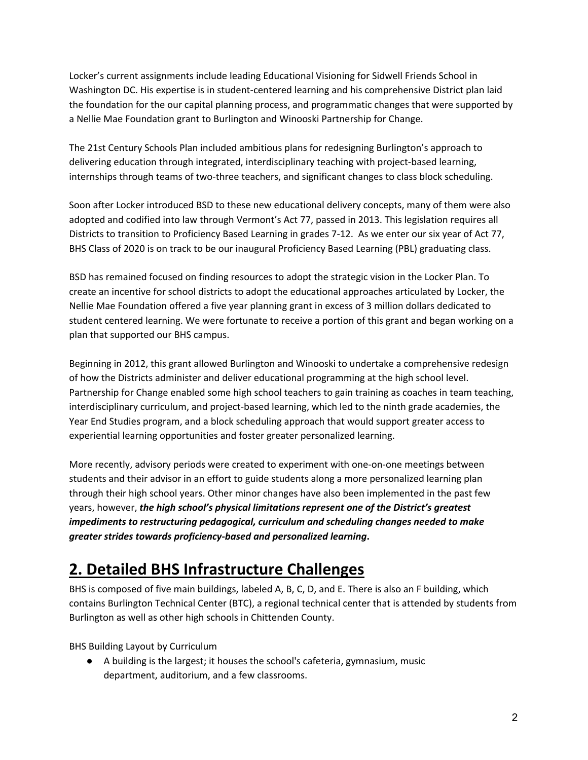Locker's current assignments include leading Educational Visioning for Sidwell Friends School in Washington DC. His expertise is in student-centered learning and his comprehensive District plan laid the foundation for the our capital planning process, and programmatic changes that were supported by a Nellie Mae Foundation grant to Burlington and Winooski Partnership for Change.

The 21st Century Schools Plan included ambitious plans for redesigning Burlington's approach to delivering education through integrated, interdisciplinary teaching with project-based learning, internships through teams of two-three teachers, and significant changes to class block scheduling.

Soon after Locker introduced BSD to these new educational delivery concepts, many of them were also adopted and codified into law through Vermont's Act 77, passed in 2013. This legislation requires all Districts to transition to Proficiency Based Learning in grades 7-12. As we enter our six year of Act 77, BHS Class of 2020 is on track to be our inaugural Proficiency Based Learning (PBL) graduating class.

BSD has remained focused on finding resources to adopt the strategic vision in the Locker Plan. To create an incentive for school districts to adopt the educational approaches articulated by Locker, the Nellie Mae Foundation offered a five year planning grant in excess of 3 million dollars dedicated to student centered learning. We were fortunate to receive a portion of this grant and began working on a plan that supported our BHS campus.

Beginning in 2012, this grant allowed Burlington and Winooski to undertake a comprehensive redesign of how the Districts administer and deliver educational programming at the high school level. Partnership for Change enabled some high school teachers to gain training as coaches in team teaching, interdisciplinary curriculum, and project-based learning, which led to the ninth grade academies, the Year End Studies program, and a block scheduling approach that would support greater access to experiential learning opportunities and foster greater personalized learning.

More recently, advisory periods were created to experiment with one-on-one meetings between students and their advisor in an effort to guide students along a more personalized learning plan through their high school years. Other minor changes have also been implemented in the past few years, however, *the high school's physical limitations represent one of the District's greatest impediments to restructuring pedagogical, curriculum and scheduling changes needed to make greater strides towards proficiency-based and personalized learning***.**

## **2. Detailed BHS Infrastructure Challenges**

BHS is composed of five main buildings, labeled A, B, C, D, and E. There is also an F building, which contains Burlington Technical Center (BTC), a regional technical center that is attended by students from Burlington as well as other high schools in Chittenden County.

BHS Building Layout by Curriculum

● A building is the largest; it houses the school's cafeteria, gymnasium, music department, auditorium, and a few classrooms.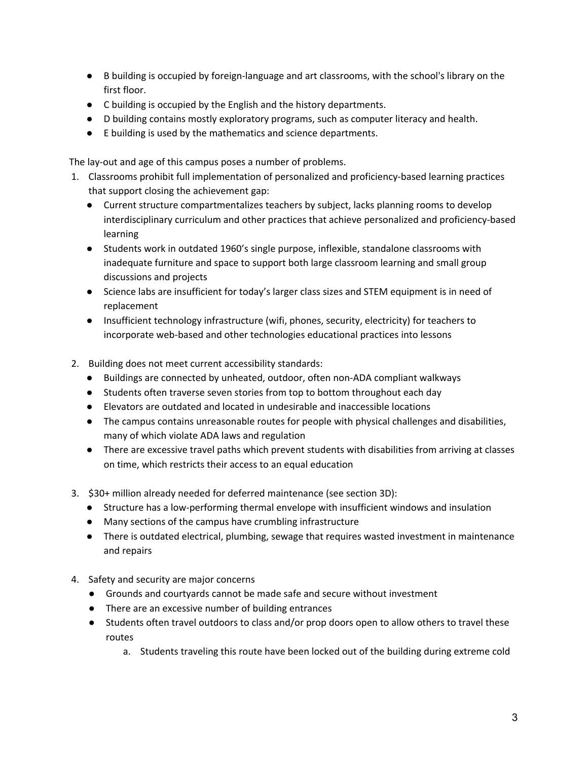- B building is occupied by foreign-language and art classrooms, with the school's library on the first floor.
- C building is occupied by the English and the history departments.
- D building contains mostly exploratory programs, such as computer literacy and health.
- E building is used by the mathematics and science departments.

The lay-out and age of this campus poses a number of problems.

- 1. Classrooms prohibit full implementation of personalized and proficiency-based learning practices that support closing the achievement gap:
	- Current structure compartmentalizes teachers by subject, lacks planning rooms to develop interdisciplinary curriculum and other practices that achieve personalized and proficiency-based learning
	- Students work in outdated 1960's single purpose, inflexible, standalone classrooms with inadequate furniture and space to support both large classroom learning and small group discussions and projects
	- Science labs are insufficient for today's larger class sizes and STEM equipment is in need of replacement
	- Insufficient technology infrastructure (wifi, phones, security, electricity) for teachers to incorporate web-based and other technologies educational practices into lessons
- 2. Building does not meet current accessibility standards:
	- Buildings are connected by unheated, outdoor, often non-ADA compliant walkways
	- Students often traverse seven stories from top to bottom throughout each day
	- Elevators are outdated and located in undesirable and inaccessible locations
	- The campus contains unreasonable routes for people with physical challenges and disabilities, many of which violate ADA laws and regulation
	- There are excessive travel paths which prevent students with disabilities from arriving at classes on time, which restricts their access to an equal education
- 3. \$30+ million already needed for deferred maintenance (see section 3D):
	- Structure has a low-performing thermal envelope with insufficient windows and insulation
	- Many sections of the campus have crumbling infrastructure
	- There is outdated electrical, plumbing, sewage that requires wasted investment in maintenance and repairs
- 4. Safety and security are major concerns
	- Grounds and courtyards cannot be made safe and secure without investment
	- There are an excessive number of building entrances
	- Students often travel outdoors to class and/or prop doors open to allow others to travel these routes
		- a. Students traveling this route have been locked out of the building during extreme cold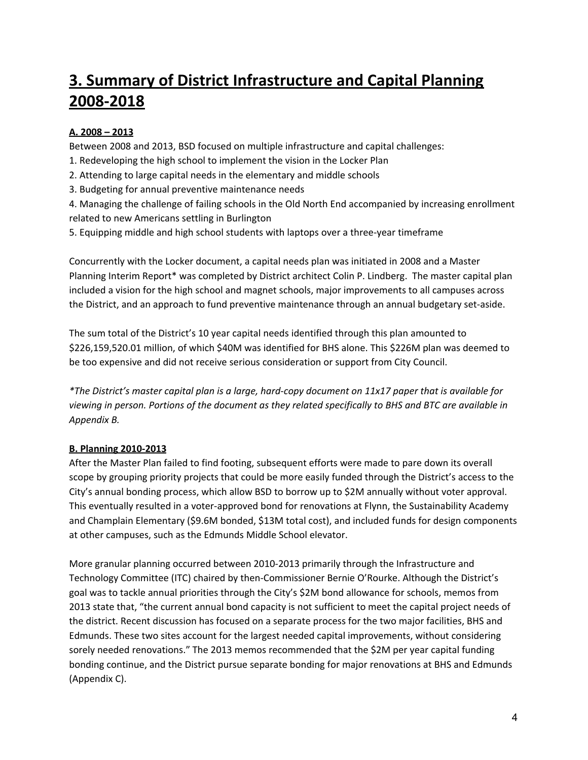# **3. Summary of District Infrastructure and Capital Planning 2008-2018**

## **A. 2008 – 2013**

Between 2008 and 2013, BSD focused on multiple infrastructure and capital challenges:

- 1. Redeveloping the high school to implement the vision in the Locker Plan
- 2. Attending to large capital needs in the elementary and middle schools
- 3. Budgeting for annual preventive maintenance needs

4. Managing the challenge of failing schools in the Old North End accompanied by increasing enrollment related to new Americans settling in Burlington

5. Equipping middle and high school students with laptops over a three-year timeframe

Concurrently with the Locker document, a capital needs plan was initiated in 2008 and a Master Planning Interim Report\* was completed by District architect Colin P. Lindberg. The master capital plan included a vision for the high school and magnet schools, major improvements to all campuses across the District, and an approach to fund preventive maintenance through an annual budgetary set-aside.

The sum total of the District's 10 year capital needs identified through this plan amounted to \$226,159,520.01 million, of which \$40M was identified for BHS alone. This \$226M plan was deemed to be too expensive and did not receive serious consideration or support from City Council.

*\*The District's master capital plan is a large, hard-copy document on 11x17 paper that is available for* viewing in person. Portions of the document as they related specifically to BHS and BTC are available in *Appendix B.*

### **B. Planning 2010-2013**

After the Master Plan failed to find footing, subsequent efforts were made to pare down its overall scope by grouping priority projects that could be more easily funded through the District's access to the City's annual bonding process, which allow BSD to borrow up to \$2M annually without voter approval. This eventually resulted in a voter-approved bond for renovations at Flynn, the Sustainability Academy and Champlain Elementary (\$9.6M bonded, \$13M total cost), and included funds for design components at other campuses, such as the Edmunds Middle School elevator.

More granular planning occurred between 2010-2013 primarily through the Infrastructure and Technology Committee (ITC) chaired by then-Commissioner Bernie O'Rourke. Although the District's goal was to tackle annual priorities through the City's \$2M bond allowance for schools, memos from 2013 state that, "the current annual bond capacity is not sufficient to meet the capital project needs of the district. Recent discussion has focused on a separate process for the two major facilities, BHS and Edmunds. These two sites account for the largest needed capital improvements, without considering sorely needed renovations." The 2013 memos recommended that the \$2M per year capital funding bonding continue, and the District pursue separate bonding for major renovations at BHS and Edmunds (Appendix C).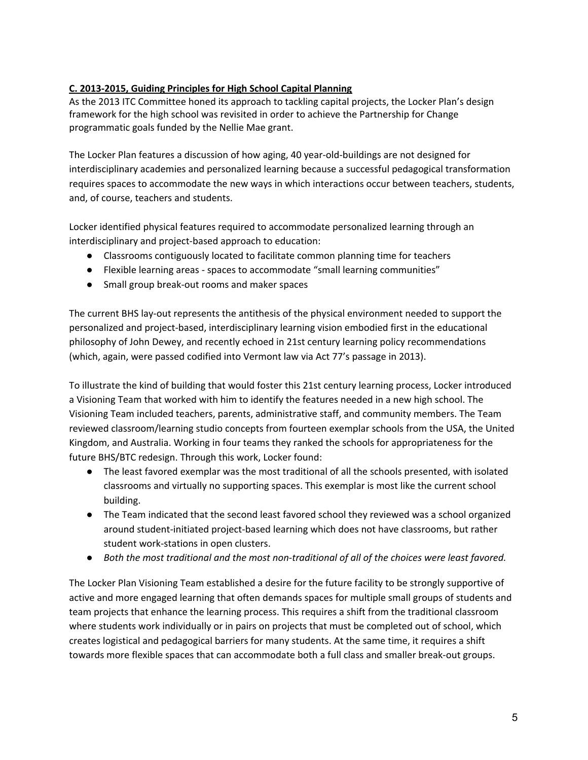### **C. 2013-2015, Guiding Principles for High School Capital Planning**

As the 2013 ITC Committee honed its approach to tackling capital projects, the Locker Plan's design framework for the high school was revisited in order to achieve the Partnership for Change programmatic goals funded by the Nellie Mae grant.

The Locker Plan features a discussion of how aging, 40 year-old-buildings are not designed for interdisciplinary academies and personalized learning because a successful pedagogical transformation requires spaces to accommodate the new ways in which interactions occur between teachers, students, and, of course, teachers and students.

Locker identified physical features required to accommodate personalized learning through an interdisciplinary and project-based approach to education:

- Classrooms contiguously located to facilitate common planning time for teachers
- Flexible learning areas spaces to accommodate "small learning communities"
- Small group break-out rooms and maker spaces

The current BHS lay-out represents the antithesis of the physical environment needed to support the personalized and project-based, interdisciplinary learning vision embodied first in the educational philosophy of John Dewey, and recently echoed in 21st century learning policy recommendations (which, again, were passed codified into Vermont law via Act 77's passage in 2013).

To illustrate the kind of building that would foster this 21st century learning process, Locker introduced a Visioning Team that worked with him to identify the features needed in a new high school. The Visioning Team included teachers, parents, administrative staff, and community members. The Team reviewed classroom/learning studio concepts from fourteen exemplar schools from the USA, the United Kingdom, and Australia. Working in four teams they ranked the schools for appropriateness for the future BHS/BTC redesign. Through this work, Locker found:

- The least favored exemplar was the most traditional of all the schools presented, with isolated classrooms and virtually no supporting spaces. This exemplar is most like the current school building.
- The Team indicated that the second least favored school they reviewed was a school organized around student-initiated project-based learning which does not have classrooms, but rather student work-stations in open clusters.
- *● Both the most traditional and the most non-traditional of all of the choices were least favored.*

The Locker Plan Visioning Team established a desire for the future facility to be strongly supportive of active and more engaged learning that often demands spaces for multiple small groups of students and team projects that enhance the learning process. This requires a shift from the traditional classroom where students work individually or in pairs on projects that must be completed out of school, which creates logistical and pedagogical barriers for many students. At the same time, it requires a shift towards more flexible spaces that can accommodate both a full class and smaller break-out groups.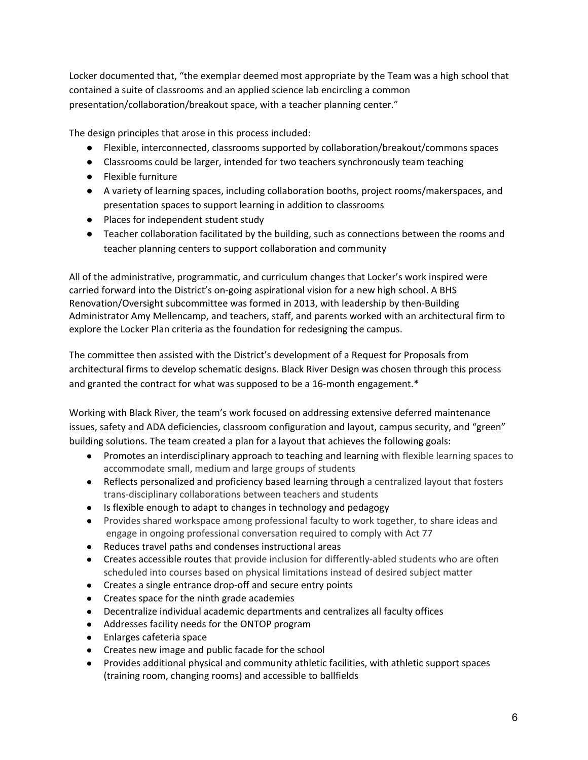Locker documented that, "the exemplar deemed most appropriate by the Team was a high school that contained a suite of classrooms and an applied science lab encircling a common presentation/collaboration/breakout space, with a teacher planning center."

The design principles that arose in this process included:

- Flexible, interconnected, classrooms supported by collaboration/breakout/commons spaces
- Classrooms could be larger, intended for two teachers synchronously team teaching
- Flexible furniture
- A variety of learning spaces, including collaboration booths, project rooms/makerspaces, and presentation spaces to support learning in addition to classrooms
- Places for independent student study
- Teacher collaboration facilitated by the building, such as connections between the rooms and teacher planning centers to support collaboration and community

All of the administrative, programmatic, and curriculum changes that Locker's work inspired were carried forward into the District's on-going aspirational vision for a new high school. A BHS Renovation/Oversight subcommittee was formed in 2013, with leadership by then-Building Administrator Amy Mellencamp, and teachers, staff, and parents worked with an architectural firm to explore the Locker Plan criteria as the foundation for redesigning the campus.

The committee then assisted with the District's development of a Request for Proposals from architectural firms to develop schematic designs. Black River Design was chosen through this process and granted the contract for what was supposed to be a 16-month engagement.\*

Working with Black River, the team's work focused on addressing extensive deferred maintenance issues, safety and ADA deficiencies, classroom configuration and layout, campus security, and "green" building solutions. The team created a plan for a layout that achieves the following goals:

- Promotes an interdisciplinary approach to teaching and learning with flexible learning spaces to accommodate small, medium and large groups of students
- Reflects personalized and proficiency based learning through a centralized layout that fosters trans-disciplinary collaborations between teachers and students
- Is flexible enough to adapt to changes in technology and pedagogy
- Provides shared workspace among professional faculty to work together, to share ideas and engage in ongoing professional conversation required to comply with Act 77
- Reduces travel paths and condenses instructional areas
- Creates accessible routes that provide inclusion for differently-abled students who are often scheduled into courses based on physical limitations instead of desired subject matter
- Creates a single entrance drop-off and secure entry points
- Creates space for the ninth grade academies
- Decentralize individual academic departments and centralizes all faculty offices
- Addresses facility needs for the ONTOP program
- Enlarges cafeteria space
- Creates new image and public facade for the school
- Provides additional physical and community athletic facilities, with athletic support spaces (training room, changing rooms) and accessible to ballfields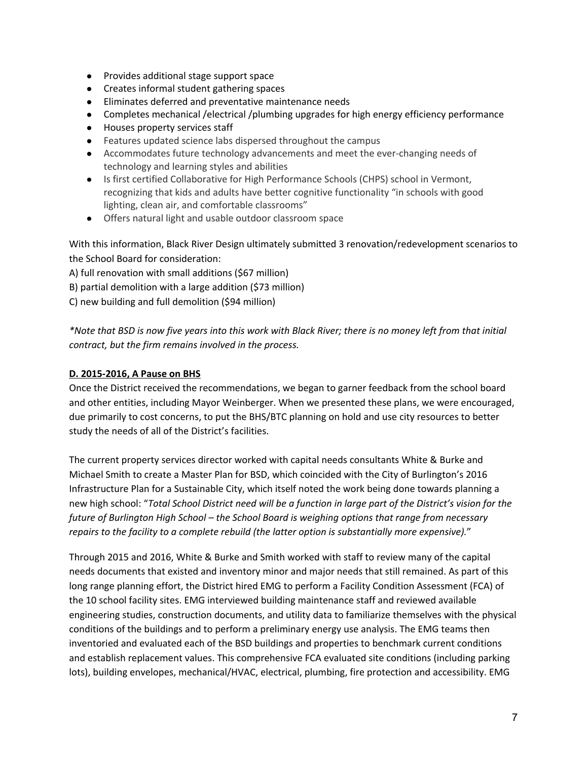- Provides additional stage support space
- Creates informal student gathering spaces
- Eliminates deferred and preventative maintenance needs
- Completes mechanical /electrical /plumbing upgrades for high energy efficiency performance
- Houses property services staff
- Features updated science labs dispersed throughout the campus
- Accommodates future technology advancements and meet the ever-changing needs of technology and learning styles and abilities
- Is first certified Collaborative for High Performance Schools (CHPS) school in Vermont, recognizing that kids and adults have better cognitive functionality "in schools with good lighting, clean air, and comfortable classrooms"
- Offers natural light and usable outdoor classroom space

With this information, Black River Design ultimately submitted 3 renovation/redevelopment scenarios to the School Board for consideration:

A) full renovation with small additions (\$67 million)

B) partial demolition with a large addition (\$73 million)

C) new building and full demolition (\$94 million)

\*Note that BSD is now five years into this work with Black River; there is no money left from that initial *contract, but the firm remains involved in the process.*

### **D. 2015-2016, A Pause on BHS**

Once the District received the recommendations, we began to garner feedback from the school board and other entities, including Mayor Weinberger. When we presented these plans, we were encouraged, due primarily to cost concerns, to put the BHS/BTC planning on hold and use city resources to better study the needs of all of the District's facilities.

The current property services director worked with capital needs consultants White & Burke and Michael Smith to create a Master Plan for BSD, which coincided with the City of Burlington's 2016 Infrastructure Plan for a Sustainable City, which itself noted the work being done towards planning a new high school: "Total School District need will be a function in large part of the District's vision for the *future of Burlington High School – the School Board is weighing options that range from necessary repairs to the facility to a complete rebuild (the latter option is substantially more expensive).*"

Through 2015 and 2016, White & Burke and Smith worked with staff to review many of the capital needs documents that existed and inventory minor and major needs that still remained. As part of this long range planning effort, the District hired EMG to perform a Facility Condition Assessment (FCA) of the 10 school facility sites. EMG interviewed building maintenance staff and reviewed available engineering studies, construction documents, and utility data to familiarize themselves with the physical conditions of the buildings and to perform a preliminary energy use analysis. The EMG teams then inventoried and evaluated each of the BSD buildings and properties to benchmark current conditions and establish replacement values. This comprehensive FCA evaluated site conditions (including parking lots), building envelopes, mechanical/HVAC, electrical, plumbing, fire protection and accessibility. EMG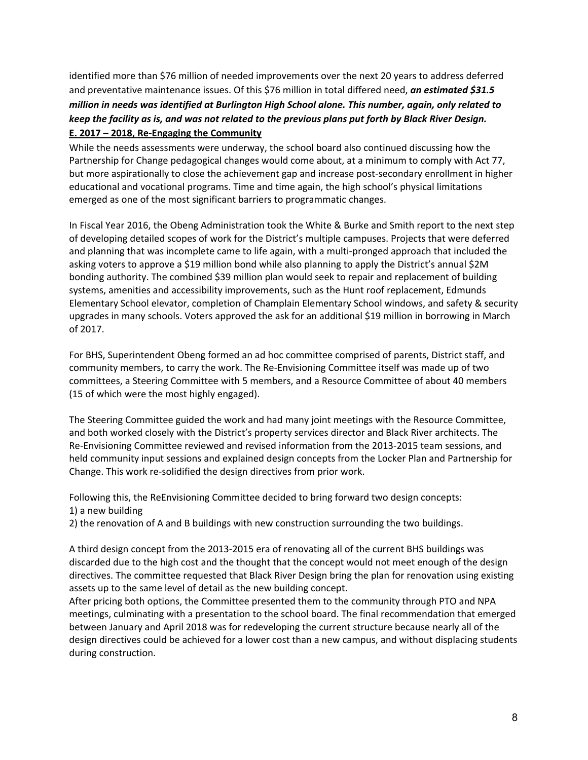identified more than \$76 million of needed improvements over the next 20 years to address deferred and preventative maintenance issues. Of this \$76 million in total differed need, *an estimated \$31.5 million in needs was identified at Burlington High School alone. This number, again, only related to* keep the facility as is, and was not related to the previous plans put forth by Black River Design. **E. 2017 – 2018, Re-Engaging the Community**

While the needs assessments were underway, the school board also continued discussing how the Partnership for Change pedagogical changes would come about, at a minimum to comply with Act 77, but more aspirationally to close the achievement gap and increase post-secondary enrollment in higher educational and vocational programs. Time and time again, the high school's physical limitations emerged as one of the most significant barriers to programmatic changes.

In Fiscal Year 2016, the Obeng Administration took the White & Burke and Smith report to the next step of developing detailed scopes of work for the District's multiple campuses. Projects that were deferred and planning that was incomplete came to life again, with a multi-pronged approach that included the asking voters to approve a \$19 million bond while also planning to apply the District's annual \$2M bonding authority. The combined \$39 million plan would seek to repair and replacement of building systems, amenities and accessibility improvements, such as the Hunt roof replacement, Edmunds Elementary School elevator, completion of Champlain Elementary School windows, and safety & security upgrades in many schools. Voters approved the ask for an additional \$19 million in borrowing in March of 2017.

For BHS, Superintendent Obeng formed an ad hoc committee comprised of parents, District staff, and community members, to carry the work. The Re-Envisioning Committee itself was made up of two committees, a Steering Committee with 5 members, and a Resource Committee of about 40 members (15 of which were the most highly engaged).

The Steering Committee guided the work and had many joint meetings with the Resource Committee, and both worked closely with the District's property services director and Black River architects. The Re-Envisioning Committee reviewed and revised information from the 2013-2015 team sessions, and held community input sessions and explained design concepts from the Locker Plan and Partnership for Change. This work re-solidified the design directives from prior work.

Following this, the ReEnvisioning Committee decided to bring forward two design concepts: 1) a new building

2) the renovation of A and B buildings with new construction surrounding the two buildings.

A third design concept from the 2013-2015 era of renovating all of the current BHS buildings was discarded due to the high cost and the thought that the concept would not meet enough of the design directives. The committee requested that Black River Design bring the plan for renovation using existing assets up to the same level of detail as the new building concept.

After pricing both options, the Committee presented them to the community through PTO and NPA meetings, culminating with a presentation to the school board. The final recommendation that emerged between January and April 2018 was for redeveloping the current structure because nearly all of the design directives could be achieved for a lower cost than a new campus, and without displacing students during construction.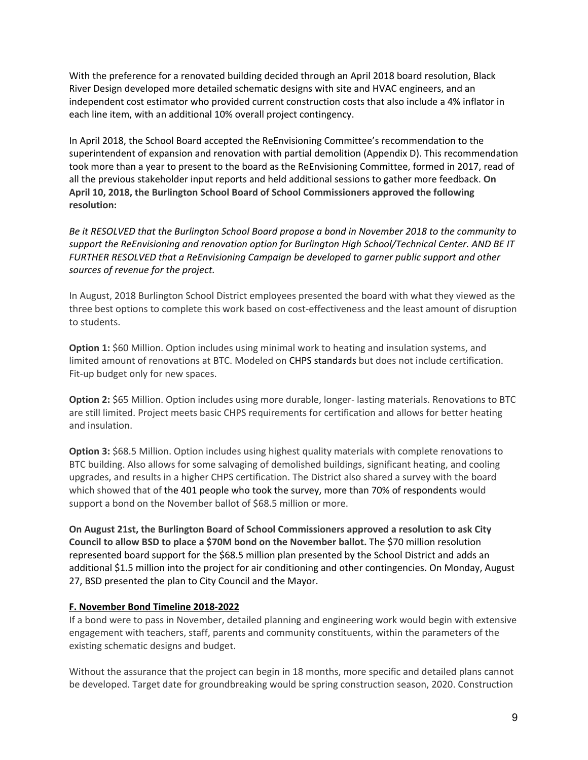With the preference for a renovated building decided through an April 2018 board resolution, Black River Design developed more detailed schematic designs with site and HVAC engineers, and an independent cost estimator who provided current construction costs that also include a 4% inflator in each line item, with an additional 10% overall project contingency.

In April 2018, the School Board accepted the ReEnvisioning Committee's [recommendation](http://www.bsdvt.org/wp-content/uploads/2018/04/BHS-ReEnvisioning-Recommendation.pdf) to the [superintendent](http://www.bsdvt.org/wp-content/uploads/2018/04/BHS-ReEnvisioning-Recommendation.pdf) of expansion and renovation with partial demolition (Appendix D). This recommendation took more than a year to present to the board as the ReEnvisioning Committee, formed in 2017, read of all the previous stakeholder input reports and held additional sessions to gather more feedback. **On April 10, 2018, the Burlington School Board of School Commissioners approved the following resolution:**

Be it RESOLVED that the Burlington School Board propose a bond in November 2018 to the community to *support the ReEnvisioning and renovation option for Burlington High School/Technical Center. AND BE IT FURTHER RESOLVED that a ReEnvisioning Campaign be developed to garner public support and other sources of revenue for the project.*

In August, 2018 Burlington School District employees presented the board with what they viewed as the three best options to complete this work based on cost-effectiveness and the least amount of disruption to students.

**Option 1:** \$60 Million. Option includes using minimal work to heating and insulation systems, and limited amount of renovations at BTC. Modeled on CHPS [standards](https://chps.net/) but does not include certification. Fit-up budget only for new spaces.

**Option 2:** \$65 Million. Option includes using more durable, longer- lasting materials. Renovations to BTC are still limited. Project meets basic CHPS requirements for certification and allows for better heating and insulation.

**Option 3:** \$68.5 Million. Option includes using highest quality materials with complete renovations to BTC building. Also allows for some salvaging of demolished buildings, significant heating, and cooling upgrades, and results in a higher CHPS certification. The District also shared a survey with the board which showed that of the 401 people who took the survey, more than 70% of [respondents](http://www.bsdvt.org/wp-content/uploads/2018/08/Combined-Survey-Results.pdf) would support a bond on the November ballot of \$68.5 million or more.

**On August 21st, the Burlington Board of School Commissioners approved a resolution to ask City Council to allow BSD to place a \$70M bond on the November ballot.** The \$70 million resolution represented board support for the \$68.5 million plan presented by the School District and adds an additional \$1.5 million into the project for air conditioning and other contingencies. On Monday, August 27, BSD presented the plan to City Council and the Mayor.

#### **F. November Bond Timeline 2018-2022**

If a bond were to pass in November, detailed planning and engineering work would begin with extensive engagement with teachers, staff, parents and community constituents, within the parameters of the existing schematic designs and budget.

Without the assurance that the project can begin in 18 months, more specific and detailed plans cannot be developed. Target date for groundbreaking would be spring construction season, 2020. Construction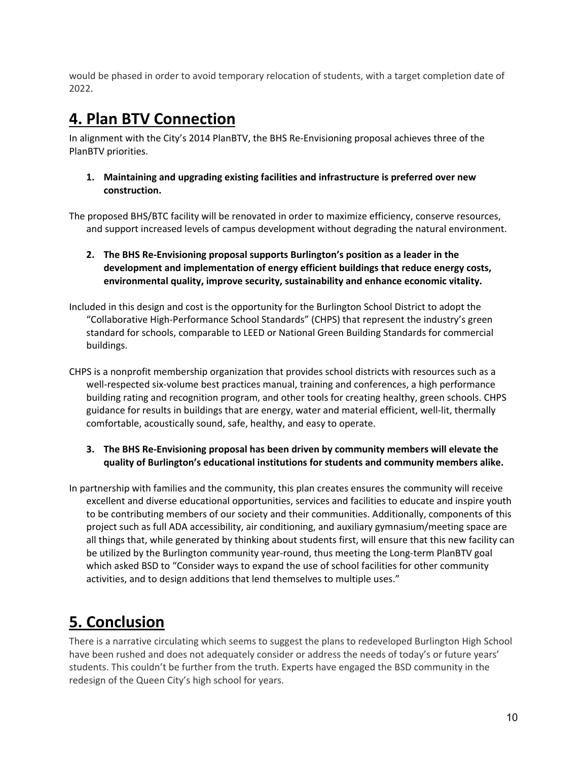would be phased in order to avoid temporary relocation of students, with a target completion date of 2022.

## **4. Plan BTV Connection**

In alignment with the City's 2014 PlanBTV, the BHS Re-Envisioning proposal achieves three of the PlanBTV priorities.

**1. Maintaining and upgrading existing facilities and infrastructure is preferred over new construction.**

The proposed BHS/BTC facility will be renovated in order to maximize efficiency, conserve resources, and support increased levels of campus development without degrading the natural environment.

- **2. The BHS Re-Envisioning proposal supports Burlington's position as a leader in the development and implementation of energy efficient buildings that reduce energy costs, environmental quality, improve security, sustainability and enhance economic vitality.**
- Included in this design and cost is the opportunity for the Burlington School District to adopt the "Collaborative High-Performance School Standards" (CHPS) that represent the industry's green standard for schools, comparable to LEED or National Green Building Standards for commercial buildings.
- CHPS is a nonprofit membership organization that provides school districts with resources such as a well-respected six-volume best practices manual, training and conferences, a high performance building rating and recognition program, and other tools for creating healthy, green schools. CHPS guidance for results in buildings that are energy, water and material efficient, well-lit, thermally comfortable, acoustically sound, safe, healthy, and easy to operate.
	- **3. The BHS Re-Envisioning proposal has been driven by community members will elevate the quality of Burlington's educational institutions for students and community members alike.**
- In partnership with families and the community, this plan creates ensures the community will receive excellent and diverse educational opportunities, services and facilities to educate and inspire youth to be contributing members of our society and their communities. Additionally, components of this project such as full ADA accessibility, air conditioning, and auxiliary gymnasium/meeting space are all things that, while generated by thinking about students first, will ensure that this new facility can be utilized by the Burlington community year-round, thus meeting the Long-term PlanBTV goal which asked BSD to "Consider ways to expand the use of school facilities for other community activities, and to design additions that lend themselves to multiple uses."

# **5. Conclusion**

There is a narrative circulating which seems to suggest the plans to redeveloped Burlington High School have been rushed and does not adequately consider or address the needs of today's or future years' students. This couldn't be further from the truth. Experts have engaged the BSD community in the redesign of the Queen City's high school for years.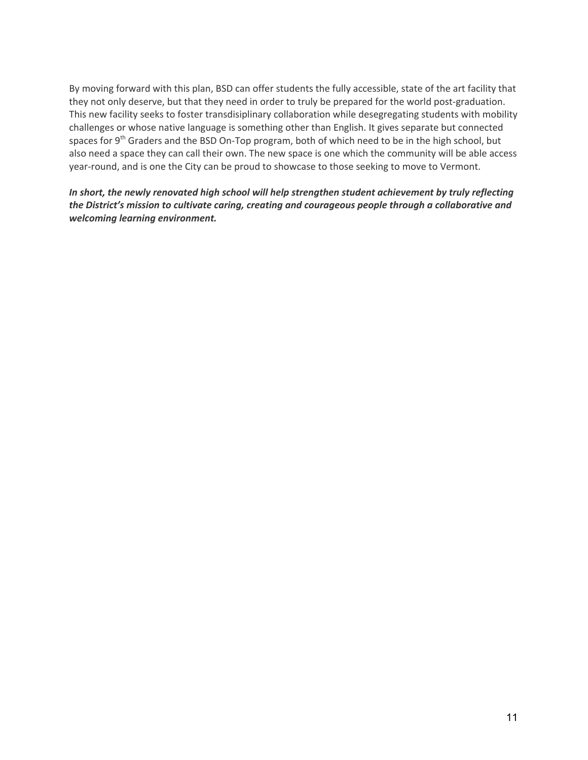By moving forward with this plan, BSD can offer students the fully accessible, state of the art facility that they not only deserve, but that they need in order to truly be prepared for the world post-graduation. This new facility seeks to foster transdisiplinary collaboration while desegregating students with mobility challenges or whose native language is something other than English. It gives separate but connected spaces for 9<sup>th</sup> Graders and the BSD On-Top program, both of which need to be in the high school, but also need a space they can call their own. The new space is one which the community will be able access year-round, and is one the City can be proud to showcase to those seeking to move to Vermont.

*In short, the newly renovated high school will help strengthen student achievement by truly reflecting the District's mission to cultivate caring, creating and courageous people through a collaborative and welcoming learning environment.*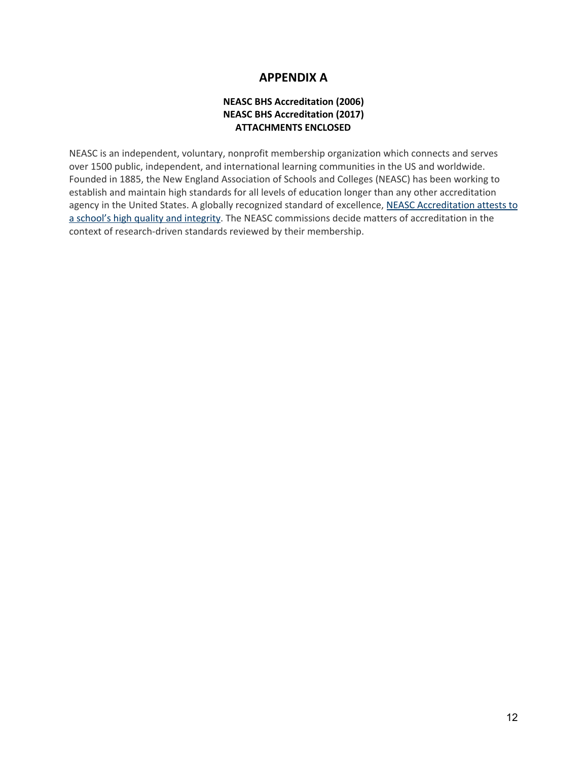## **APPENDIX A**

#### **NEASC BHS Accreditation (2006) NEASC BHS Accreditation (2017) ATTACHMENTS ENCLOSED**

NEASC is an independent, voluntary, nonprofit membership organization which connects and serves over 1500 public, independent, and international learning communities in the US and worldwide. Founded in 1885, the New England Association of Schools and Colleges (NEASC) has been working to establish and maintain high standards for all levels of education longer than any other accreditation agency in the United States. A globally recognized standard of excellence, NEASC [Accreditation](https://www.neasc.org/overview/value) attests to a school's high quality and [integrity.](https://www.neasc.org/overview/value) The NEASC commissions decide matters of accreditation in the context of research-driven standards reviewed by their membership.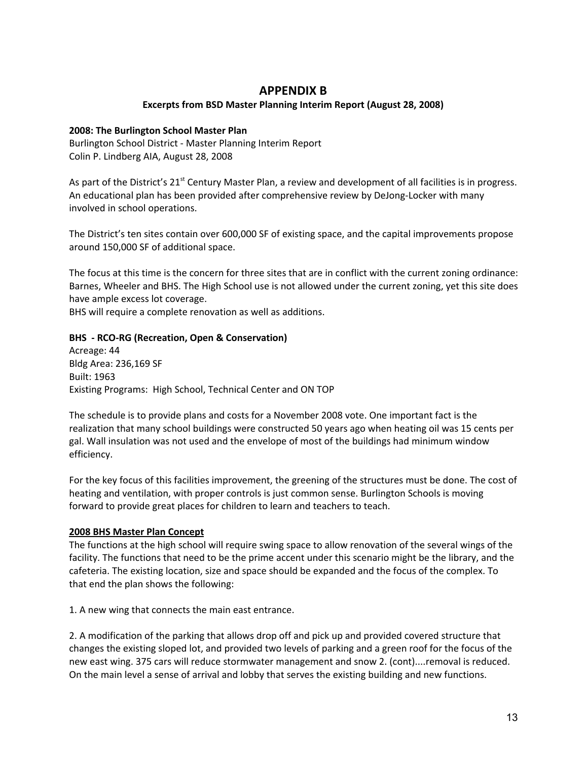## **APPENDIX B**

#### **Excerpts from BSD Master Planning Interim Report (August 28, 2008)**

#### **2008: The Burlington School Master Plan**

Burlington School District - Master Planning Interim Report Colin P. Lindberg AIA, August 28, 2008

As part of the District's 21<sup>st</sup> Century Master Plan, a review and development of all facilities is in progress. An educational plan has been provided after comprehensive review by DeJong-Locker with many involved in school operations.

The District's ten sites contain over 600,000 SF of existing space, and the capital improvements propose around 150,000 SF of additional space.

The focus at this time is the concern for three sites that are in conflict with the current zoning ordinance: Barnes, Wheeler and BHS. The High School use is not allowed under the current zoning, yet this site does have ample excess lot coverage.

BHS will require a complete renovation as well as additions.

#### **BHS - RCO-RG (Recreation, Open & Conservation)**

Acreage: 44 Bldg Area: 236,169 SF Built: 1963 Existing Programs: High School, Technical Center and ON TOP

The schedule is to provide plans and costs for a November 2008 vote. One important fact is the realization that many school buildings were constructed 50 years ago when heating oil was 15 cents per gal. Wall insulation was not used and the envelope of most of the buildings had minimum window efficiency.

For the key focus of this facilities improvement, the greening of the structures must be done. The cost of heating and ventilation, with proper controls is just common sense. Burlington Schools is moving forward to provide great places for children to learn and teachers to teach.

#### **2008 BHS Master Plan Concept**

The functions at the high school will require swing space to allow renovation of the several wings of the facility. The functions that need to be the prime accent under this scenario might be the library, and the cafeteria. The existing location, size and space should be expanded and the focus of the complex. To that end the plan shows the following:

1. A new wing that connects the main east entrance.

2. A modification of the parking that allows drop off and pick up and provided covered structure that changes the existing sloped lot, and provided two levels of parking and a green roof for the focus of the new east wing. 375 cars will reduce stormwater management and snow 2. (cont)....removal is reduced. On the main level a sense of arrival and lobby that serves the existing building and new functions.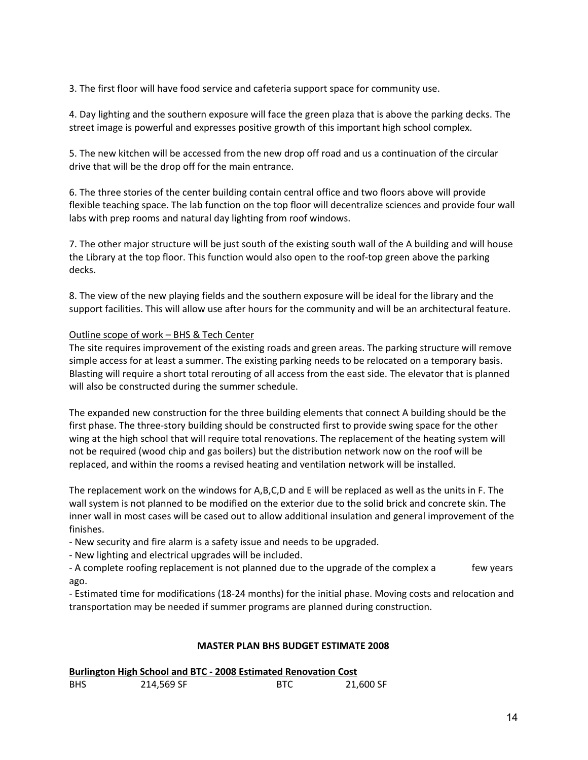3. The first floor will have food service and cafeteria support space for community use.

4. Day lighting and the southern exposure will face the green plaza that is above the parking decks. The street image is powerful and expresses positive growth of this important high school complex.

5. The new kitchen will be accessed from the new drop off road and us a continuation of the circular drive that will be the drop off for the main entrance.

6. The three stories of the center building contain central office and two floors above will provide flexible teaching space. The lab function on the top floor will decentralize sciences and provide four wall labs with prep rooms and natural day lighting from roof windows.

7. The other major structure will be just south of the existing south wall of the A building and will house the Library at the top floor. This function would also open to the roof-top green above the parking decks.

8. The view of the new playing fields and the southern exposure will be ideal for the library and the support facilities. This will allow use after hours for the community and will be an architectural feature.

#### Outline scope of work – BHS & Tech Center

The site requires improvement of the existing roads and green areas. The parking structure will remove simple access for at least a summer. The existing parking needs to be relocated on a temporary basis. Blasting will require a short total rerouting of all access from the east side. The elevator that is planned will also be constructed during the summer schedule.

The expanded new construction for the three building elements that connect A building should be the first phase. The three-story building should be constructed first to provide swing space for the other wing at the high school that will require total renovations. The replacement of the heating system will not be required (wood chip and gas boilers) but the distribution network now on the roof will be replaced, and within the rooms a revised heating and ventilation network will be installed.

The replacement work on the windows for A,B,C,D and E will be replaced as well as the units in F. The wall system is not planned to be modified on the exterior due to the solid brick and concrete skin. The inner wall in most cases will be cased out to allow additional insulation and general improvement of the finishes.

- New security and fire alarm is a safety issue and needs to be upgraded.

- New lighting and electrical upgrades will be included.

- A complete roofing replacement is not planned due to the upgrade of the complex a few years ago.

- Estimated time for modifications (18-24 months) for the initial phase. Moving costs and relocation and transportation may be needed if summer programs are planned during construction.

#### **MASTER PLAN BHS BUDGET ESTIMATE 2008**

| <b>Burlington High School and BTC - 2008 Estimated Renovation Cost</b> |            |      |           |  |  |
|------------------------------------------------------------------------|------------|------|-----------|--|--|
| <b>BHS</b>                                                             | 214,569 SF | -RTC | 21.600 SF |  |  |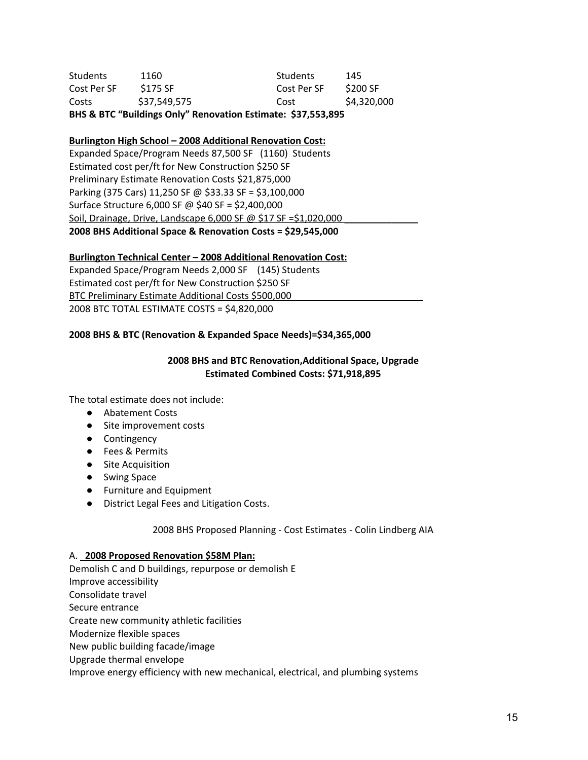| BHS & BTC "Buildings Only" Renovation Estimate: \$37,553,895 |              |             |             |  |  |
|--------------------------------------------------------------|--------------|-------------|-------------|--|--|
| Costs                                                        | \$37,549,575 | Cost        | \$4,320,000 |  |  |
| Cost Per SF                                                  | \$175 SF     | Cost Per SF | \$200 SF    |  |  |
| <b>Students</b>                                              | 1160         | Students    | 145         |  |  |

#### **Burlington High School – 2008 Additional Renovation Cost:**

Expanded Space/Program Needs 87,500 SF (1160) Students Estimated cost per/ft for New Construction \$250 SF Preliminary Estimate Renovation Costs \$21,875,000 Parking (375 Cars) 11,250 SF @ \$33.33 SF = \$3,100,000 Surface Structure 6,000 SF @ \$40 SF = \$2,400,000 Soil, Drainage, Drive, Landscape 6,000 SF @ \$17 SF = \$1,020,000 **2008 BHS Additional Space & Renovation Costs = \$29,545,000**

#### **Burlington Technical Center – 2008 Additional Renovation Cost:**

Expanded Space/Program Needs 2,000 SF (145) Students Estimated cost per/ft for New Construction \$250 SF BTC Preliminary Estimate Additional Costs \$500,000 2008 BTC TOTAL ESTIMATE COSTS = \$4,820,000

#### **2008 BHS & BTC (Renovation & Expanded Space Needs)=\$34,365,000**

#### **2008 BHS and BTC Renovation,Additional Space, Upgrade Estimated Combined Costs: \$71,918,895**

The total estimate does not include:

- Abatement Costs
- Site improvement costs
- Contingency
- Fees & Permits
- Site Acquisition
- Swing Space
- Furniture and Equipment
- District Legal Fees and Litigation Costs.

#### 2008 BHS Proposed Planning - Cost Estimates - Colin Lindberg AIA

#### A. **2008 Proposed Renovation \$58M Plan:**

Demolish C and D buildings, repurpose or demolish E Improve accessibility Consolidate travel Secure entrance Create new community athletic facilities Modernize flexible spaces New public building facade/image Upgrade thermal envelope Improve energy efficiency with new mechanical, electrical, and plumbing systems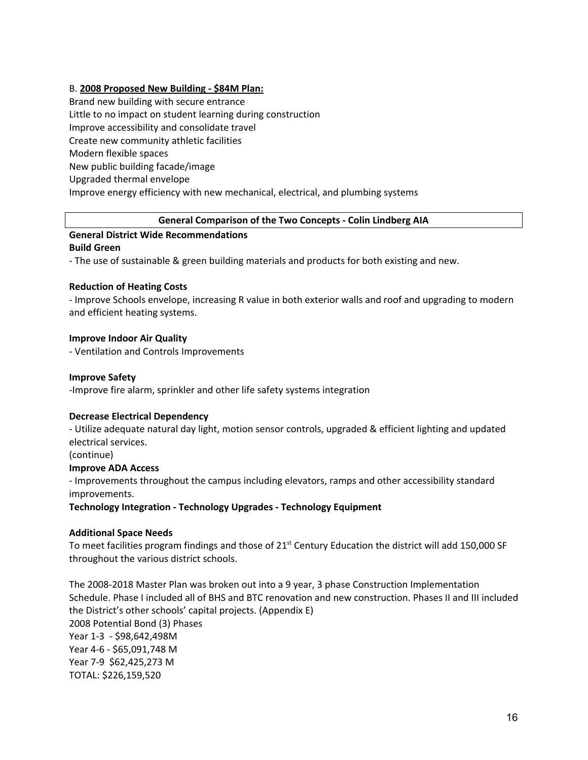#### B. **2008 Proposed New Building - \$84M Plan:**

Brand new building with secure entrance Little to no impact on student learning during construction Improve accessibility and consolidate travel Create new community athletic facilities Modern flexible spaces New public building facade/image Upgraded thermal envelope Improve energy efficiency with new mechanical, electrical, and plumbing systems

#### **General Comparison of the Two Concepts - Colin Lindberg AIA**

#### **General District Wide Recommendations Build Green**

- The use of sustainable & green building materials and products for both existing and new.

#### **Reduction of Heating Costs**

- Improve Schools envelope, increasing R value in both exterior walls and roof and upgrading to modern and efficient heating systems.

#### **Improve Indoor Air Quality**

- Ventilation and Controls Improvements

#### **Improve Safety**

-Improve fire alarm, sprinkler and other life safety systems integration

#### **Decrease Electrical Dependency**

- Utilize adequate natural day light, motion sensor controls, upgraded & efficient lighting and updated electrical services.

(continue)

#### **Improve ADA Access**

- Improvements throughout the campus including elevators, ramps and other accessibility standard improvements.

**Technology Integration - Technology Upgrades - Technology Equipment**

#### **Additional Space Needs**

To meet facilities program findings and those of 21<sup>st</sup> Century Education the district will add 150,000 SF throughout the various district schools.

The 2008-2018 Master Plan was broken out into a 9 year, 3 phase Construction Implementation Schedule. Phase I included all of BHS and BTC renovation and new construction. Phases II and III included the District's other schools' capital projects. (Appendix E) 2008 Potential Bond (3) Phases Year 1-3 - \$98,642,498M Year 4-6 - \$65,091,748 M Year 7-9 \$62,425,273 M TOTAL: \$226,159,520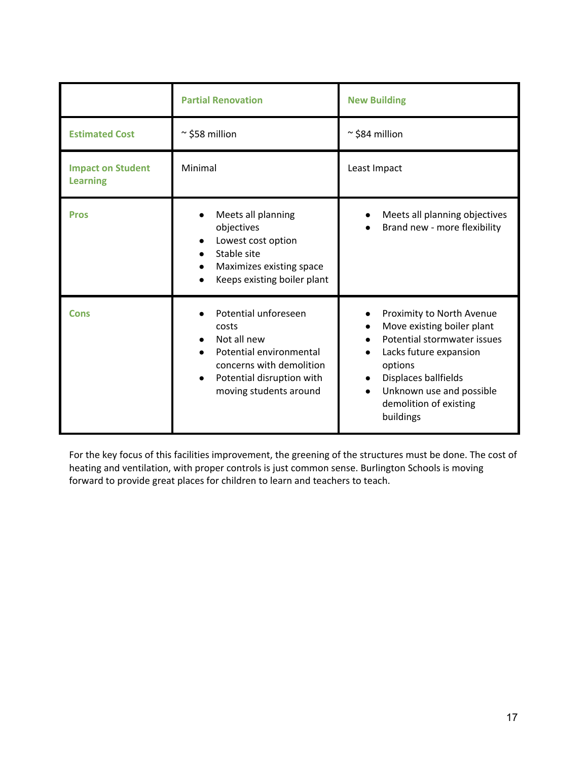|                                             | <b>Partial Renovation</b>                                                                                                                                                            | <b>New Building</b>                                                                                                                                                                                                                 |
|---------------------------------------------|--------------------------------------------------------------------------------------------------------------------------------------------------------------------------------------|-------------------------------------------------------------------------------------------------------------------------------------------------------------------------------------------------------------------------------------|
| <b>Estimated Cost</b>                       | $\approx$ \$58 million                                                                                                                                                               | $\approx$ \$84 million                                                                                                                                                                                                              |
| <b>Impact on Student</b><br><b>Learning</b> | Minimal                                                                                                                                                                              | Least Impact                                                                                                                                                                                                                        |
| <b>Pros</b>                                 | Meets all planning<br>$\bullet$<br>objectives<br>Lowest cost option<br>$\bullet$<br>Stable site<br>$\bullet$<br>Maximizes existing space<br>$\bullet$<br>Keeps existing boiler plant | Meets all planning objectives<br>Brand new - more flexibility                                                                                                                                                                       |
| <b>Cons</b>                                 | Potential unforeseen<br>costs<br>Not all new<br>Potential environmental<br>concerns with demolition<br>Potential disruption with<br>$\bullet$<br>moving students around              | Proximity to North Avenue<br>Move existing boiler plant<br>Potential stormwater issues<br>Lacks future expansion<br>options<br>Displaces ballfields<br>$\bullet$<br>Unknown use and possible<br>demolition of existing<br>buildings |

For the key focus of this facilities improvement, the greening of the structures must be done. The cost of heating and ventilation, with proper controls is just common sense. Burlington Schools is moving forward to provide great places for children to learn and teachers to teach.